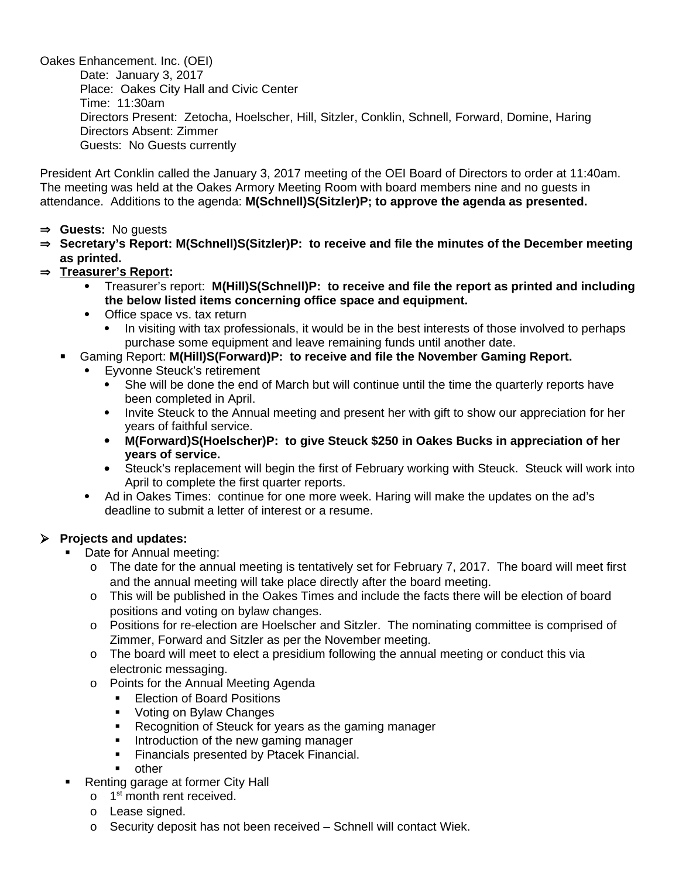Oakes Enhancement. Inc. (OEI) Date: January 3, 2017 Place: Oakes City Hall and Civic Center Time: 11:30am Directors Present: Zetocha, Hoelscher, Hill, Sitzler, Conklin, Schnell, Forward, Domine, Haring Directors Absent: Zimmer Guests: No Guests currently

President Art Conklin called the January 3, 2017 meeting of the OEI Board of Directors to order at 11:40am. The meeting was held at the Oakes Armory Meeting Room with board members nine and no guests in attendance. Additions to the agenda: **M(Schnell)S(Sitzler)P; to approve the agenda as presented.** 

- **Guests:** No guests
- **Secretary's Report: M(Schnell)S(Sitzler)P: to receive and file the minutes of the December meeting as printed.**
- **Treasurer's Report:** 
	- Treasurer's report: **M(Hill)S(Schnell)P: to receive and file the report as printed and including the below listed items concerning office space and equipment.**
	- Office space vs. tax return
		- In visiting with tax professionals, it would be in the best interests of those involved to perhaps purchase some equipment and leave remaining funds until another date.
	- Gaming Report: **M(Hill)S(Forward)P: to receive and file the November Gaming Report.**
		- Eyvonne Steuck's retirement
			- She will be done the end of March but will continue until the time the quarterly reports have been completed in April.
			- Invite Steuck to the Annual meeting and present her with gift to show our appreciation for her years of faithful service.
			- **M(Forward)S(Hoelscher)P: to give Steuck \$250 in Oakes Bucks in appreciation of her years of service.**
			- Steuck's replacement will begin the first of February working with Steuck. Steuck will work into April to complete the first quarter reports.
		- Ad in Oakes Times: continue for one more week. Haring will make the updates on the ad's deadline to submit a letter of interest or a resume.

### **Projects and updates:**

- Date for Annual meeting:
	- o The date for the annual meeting is tentatively set for February 7, 2017. The board will meet first and the annual meeting will take place directly after the board meeting.
	- o This will be published in the Oakes Times and include the facts there will be election of board positions and voting on bylaw changes.
	- o Positions for re-election are Hoelscher and Sitzler. The nominating committee is comprised of Zimmer, Forward and Sitzler as per the November meeting.
	- o The board will meet to elect a presidium following the annual meeting or conduct this via electronic messaging.
	- o Points for the Annual Meeting Agenda
		- **Election of Board Positions**
		- **Voting on Bylaw Changes**
		- Recognition of Steuck for years as the gaming manager
		- Introduction of the new gaming manager
		- **Financials presented by Ptacek Financial.**
		- other
- Renting garage at former City Hall
	- $0 \quad 1^{st}$  month rent received.
	- o Lease signed.
	- o Security deposit has not been received Schnell will contact Wiek.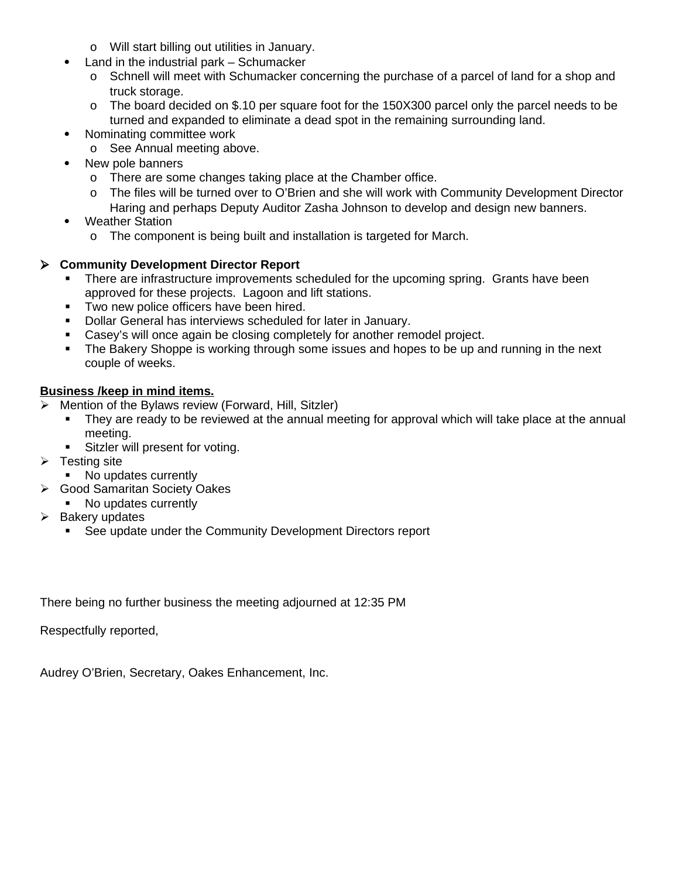- o Will start billing out utilities in January.
- Land in the industrial park Schumacker
	- o Schnell will meet with Schumacker concerning the purchase of a parcel of land for a shop and truck storage.
	- o The board decided on \$.10 per square foot for the 150X300 parcel only the parcel needs to be turned and expanded to eliminate a dead spot in the remaining surrounding land.
- Nominating committee work
	- o See Annual meeting above.
- New pole banners
	- o There are some changes taking place at the Chamber office.
	- o The files will be turned over to O'Brien and she will work with Community Development Director Haring and perhaps Deputy Auditor Zasha Johnson to develop and design new banners.
- Weather Station
	- o The component is being built and installation is targeted for March.

#### **Community Development Director Report**

- There are infrastructure improvements scheduled for the upcoming spring. Grants have been approved for these projects. Lagoon and lift stations.
- **Two new police officers have been hired.**
- **-** Dollar General has interviews scheduled for later in January.
- Casey's will once again be closing completely for another remodel project.
- The Bakery Shoppe is working through some issues and hopes to be up and running in the next couple of weeks.

#### **Business /keep in mind items.**

- Mention of the Bylaws review (Forward, Hill, Sitzler)
	- They are ready to be reviewed at the annual meeting for approval which will take place at the annual meeting.
	- **Sitzler will present for voting.**
- $\triangleright$  Testing site
	- No updates currently
- Good Samaritan Society Oakes
	- No updates currently
- $\triangleright$  Bakery updates
	- See update under the Community Development Directors report

There being no further business the meeting adjourned at 12:35 PM

Respectfully reported,

Audrey O'Brien, Secretary, Oakes Enhancement, Inc.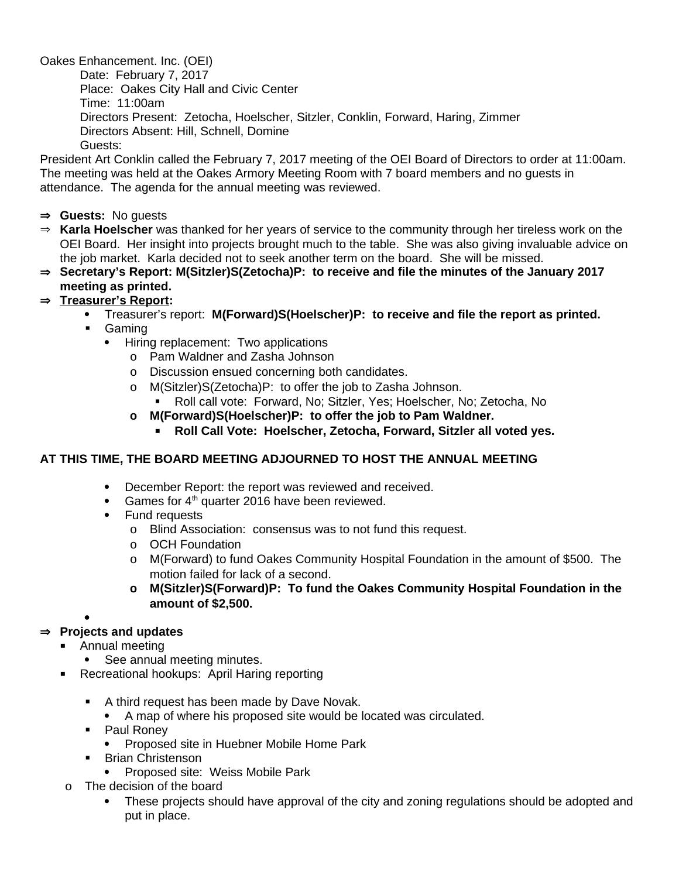Oakes Enhancement. Inc. (OEI) Date: February 7, 2017 Place: Oakes City Hall and Civic Center Time: 11:00am Directors Present: Zetocha, Hoelscher, Sitzler, Conklin, Forward, Haring, Zimmer Directors Absent: Hill, Schnell, Domine Guests:

President Art Conklin called the February 7, 2017 meeting of the OEI Board of Directors to order at 11:00am. The meeting was held at the Oakes Armory Meeting Room with 7 board members and no guests in attendance. The agenda for the annual meeting was reviewed.

- **Guests:** No guests
- **Karla Hoelscher** was thanked for her years of service to the community through her tireless work on the OEI Board. Her insight into projects brought much to the table. She was also giving invaluable advice on the job market. Karla decided not to seek another term on the board. She will be missed.
- **Secretary's Report: M(Sitzler)S(Zetocha)P: to receive and file the minutes of the January 2017 meeting as printed.**

### **Treasurer's Report:**

- Treasurer's report: **M(Forward)S(Hoelscher)P: to receive and file the report as printed.**
	- Gaming
		- Hiring replacement: Two applications
			- o Pam Waldner and Zasha Johnson
			- o Discussion ensued concerning both candidates.
			- o M(Sitzler)S(Zetocha)P: to offer the job to Zasha Johnson.
			- Roll call vote: Forward, No; Sitzler, Yes; Hoelscher, No; Zetocha, No
			- **o M(Forward)S(Hoelscher)P: to offer the job to Pam Waldner.**
				- **Roll Call Vote: Hoelscher, Zetocha, Forward, Sitzler all voted yes.**

#### **AT THIS TIME, THE BOARD MEETING ADJOURNED TO HOST THE ANNUAL MEETING**

- December Report: the report was reviewed and received.
- Games for  $4<sup>th</sup>$  quarter 2016 have been reviewed.
- Fund requests
	- o Blind Association: consensus was to not fund this request.
	- o OCH Foundation
	- o M(Forward) to fund Oakes Community Hospital Foundation in the amount of \$500. The motion failed for lack of a second.
	- **o M(Sitzler)S(Forward)P: To fund the Oakes Community Hospital Foundation in the amount of \$2,500.**

#### $\bullet$

### **Projects and updates**

- Annual meeting
	- See annual meeting minutes.
- Recreational hookups: April Haring reporting
	- A third request has been made by Dave Novak.
		- A map of where his proposed site would be located was circulated.
	- Paul Roney
		- Proposed site in Huebner Mobile Home Park
	- Brian Christenson
		- Proposed site: Weiss Mobile Park
- o The decision of the board
	- These projects should have approval of the city and zoning regulations should be adopted and put in place.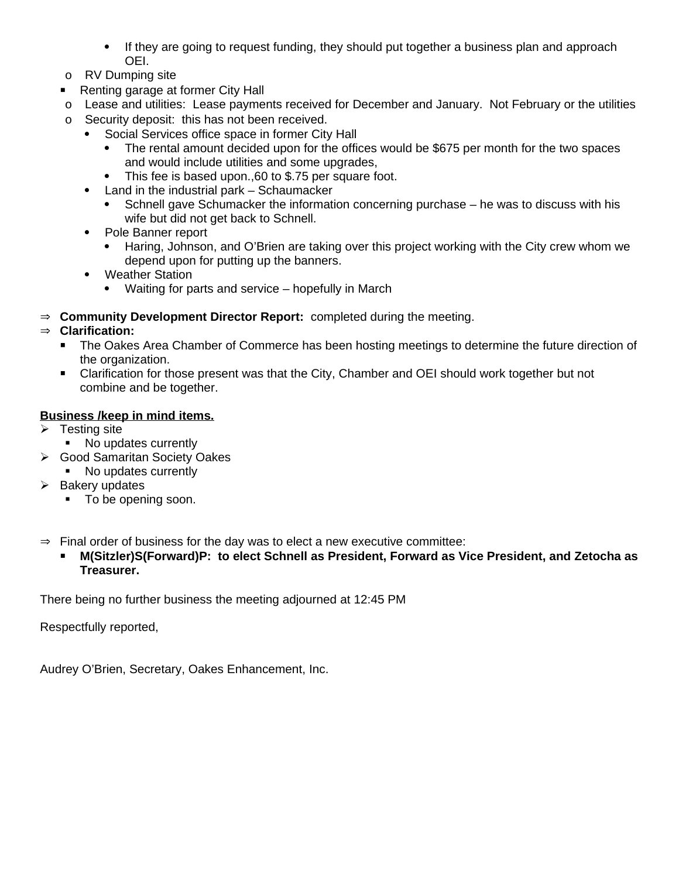- If they are going to request funding, they should put together a business plan and approach OEI.
- o RV Dumping site
- **Renting garage at former City Hall**
- o Lease and utilities: Lease payments received for December and January. Not February or the utilities
- o Security deposit: this has not been received.
	- Social Services office space in former City Hall
		- The rental amount decided upon for the offices would be \$675 per month for the two spaces and would include utilities and some upgrades,
		- This fee is based upon.,60 to \$.75 per square foot.
	- Land in the industrial park Schaumacker
		- Schnell gave Schumacker the information concerning purchase he was to discuss with his wife but did not get back to Schnell.
	- Pole Banner report
		- Haring, Johnson, and O'Brien are taking over this project working with the City crew whom we depend upon for putting up the banners.
	- Weather Station
		- Waiting for parts and service hopefully in March
- $\Rightarrow$  **Community Development Director Report:** completed during the meeting.

### **Clarification:**

- The Oakes Area Chamber of Commerce has been hosting meetings to determine the future direction of the organization.
- Clarification for those present was that the City, Chamber and OEI should work together but not combine and be together.

#### **Business /keep in mind items.**

- $\triangleright$  Testing site
	- No updates currently
- Good Samaritan Society Oakes
	- No updates currently
- $\triangleright$  Bakery updates
	- $\blacksquare$  To be opening soon.
- $\Rightarrow$  Final order of business for the day was to elect a new executive committee:
	- **M(Sitzler)S(Forward)P: to elect Schnell as President, Forward as Vice President, and Zetocha as Treasurer.**

There being no further business the meeting adjourned at 12:45 PM

Respectfully reported,

Audrey O'Brien, Secretary, Oakes Enhancement, Inc.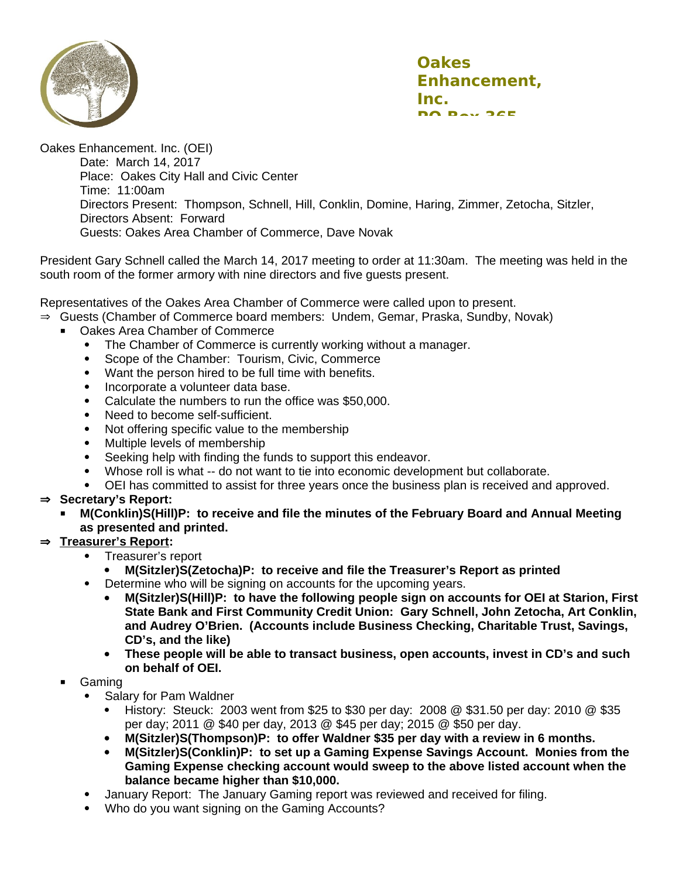

Oakes Enhancement. Inc. (OEI) Date: March 14, 2017 Place: Oakes City Hall and Civic Center Time: 11:00am Directors Present: Thompson, Schnell, Hill, Conklin, Domine, Haring, Zimmer, Zetocha, Sitzler, Directors Absent: Forward Guests: Oakes Area Chamber of Commerce, Dave Novak

President Gary Schnell called the March 14, 2017 meeting to order at 11:30am. The meeting was held in the south room of the former armory with nine directors and five guests present.

Representatives of the Oakes Area Chamber of Commerce were called upon to present.

- $\Rightarrow$  Guests (Chamber of Commerce board members: Undem, Gemar, Praska, Sundby, Novak)
	- Oakes Area Chamber of Commerce
		- The Chamber of Commerce is currently working without a manager.
		- Scope of the Chamber: Tourism, Civic, Commerce
		- Want the person hired to be full time with benefits.
		- Incorporate a volunteer data base.
		- Calculate the numbers to run the office was \$50,000.
		- Need to become self-sufficient.
		- Not offering specific value to the membership
		- Multiple levels of membership
		- Seeking help with finding the funds to support this endeavor.
		- Whose roll is what -- do not want to tie into economic development but collaborate.
		- OEI has committed to assist for three years once the business plan is received and approved.

#### **Secretary's Report:**

 **M(Conklin)S(Hill)P: to receive and file the minutes of the February Board and Annual Meeting as presented and printed.**

#### **Treasurer's Report:**

- Treasurer's report
	- **M(Sitzler)S(Zetocha)P: to receive and file the Treasurer's Report as printed**
- Determine who will be signing on accounts for the upcoming years.
	- **M(Sitzler)S(Hill)P: to have the following people sign on accounts for OEI at Starion, First State Bank and First Community Credit Union: Gary Schnell, John Zetocha, Art Conklin, and Audrey O'Brien. (Accounts include Business Checking, Charitable Trust, Savings, CD's, and the like)**
	- **These people will be able to transact business, open accounts, invest in CD's and such on behalf of OEI.**

#### Gaming

- Salary for Pam Waldner
	- History: Steuck: 2003 went from \$25 to \$30 per day: 2008  $\omega$  \$31.50 per day: 2010  $\omega$  \$35 per day; 2011 @ \$40 per day, 2013 @ \$45 per day; 2015 @ \$50 per day.
	- **M(Sitzler)S(Thompson)P: to offer Waldner \$35 per day with a review in 6 months.**
	- **M(Sitzler)S(Conklin)P: to set up a Gaming Expense Savings Account. Monies from the Gaming Expense checking account would sweep to the above listed account when the balance became higher than \$10,000.**
- January Report: The January Gaming report was reviewed and received for filing.
- Who do you want signing on the Gaming Accounts?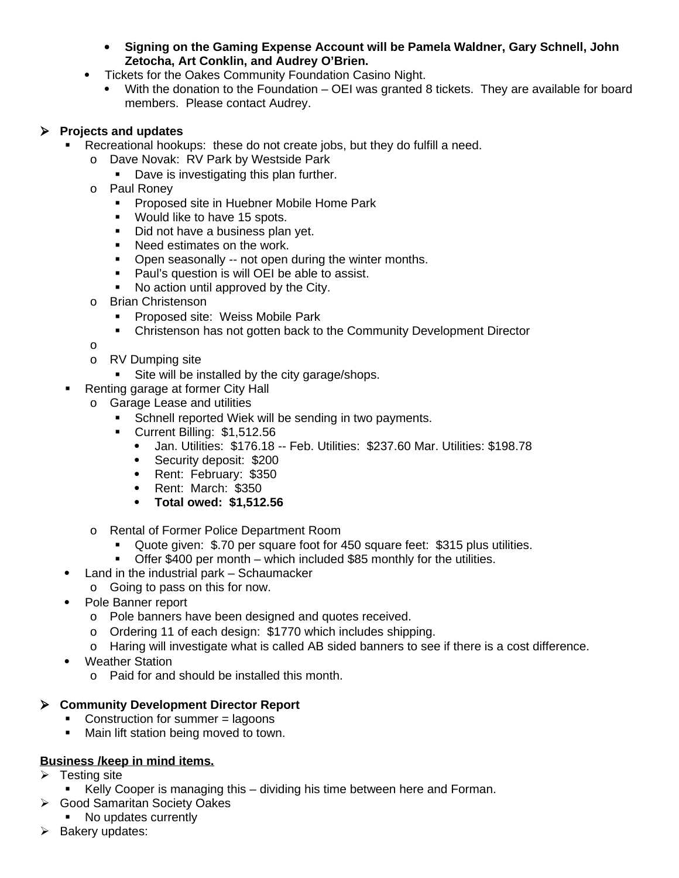- **Signing on the Gaming Expense Account will be Pamela Waldner, Gary Schnell, John Zetocha, Art Conklin, and Audrey O'Brien.**
- Tickets for the Oakes Community Foundation Casino Night.
	- With the donation to the Foundation OEI was granted 8 tickets. They are available for board members. Please contact Audrey.

# **Projects and updates**

- Recreational hookups: these do not create jobs, but they do fulfill a need.
	- o Dave Novak: RV Park by Westside Park
		- Dave is investigating this plan further.
	- o Paul Roney
		- **Proposed site in Huebner Mobile Home Park**
		- **Would like to have 15 spots.**
		- Did not have a business plan yet.
		- **Need estimates on the work.**
		- **•** Open seasonally -- not open during the winter months.
		- **Paul's question is will OEI be able to assist.**
		- No action until approved by the City.
	- o Brian Christenson
		- **Proposed site: Weiss Mobile Park**
		- Christenson has not gotten back to the Community Development Director
	- o
	- o RV Dumping site
		- Site will be installed by the city garage/shops.
- Renting garage at former City Hall
	- o Garage Lease and utilities
		- **Schnell reported Wiek will be sending in two payments.**
		- Current Billing: \$1,512.56
			- Jan. Utilities: \$176.18 -- Feb. Utilities: \$237.60 Mar. Utilities: \$198.78
			- Security deposit: \$200
			- Rent: February: \$350
			- Rent: March: \$350
			- **Total owed: \$1,512.56**
	- o Rental of Former Police Department Room
		- Quote given: \$.70 per square foot for 450 square feet: \$315 plus utilities.
		- Offer \$400 per month which included \$85 monthly for the utilities.
- Land in the industrial park Schaumacker
	- o Going to pass on this for now.
- Pole Banner report
	- o Pole banners have been designed and quotes received.
	- o Ordering 11 of each design: \$1770 which includes shipping.
	- o Haring will investigate what is called AB sided banners to see if there is a cost difference.
- Weather Station
	- o Paid for and should be installed this month.

### **Community Development Director Report**

- Construction for summer  $=$  lagoons
- **Main lift station being moved to town.**

### **Business /keep in mind items.**

- $\triangleright$  Testing site
	- Kelly Cooper is managing this dividing his time between here and Forman.
- **► Good Samaritan Society Oakes** 
	- No updates currently
- $\triangleright$  Bakery updates: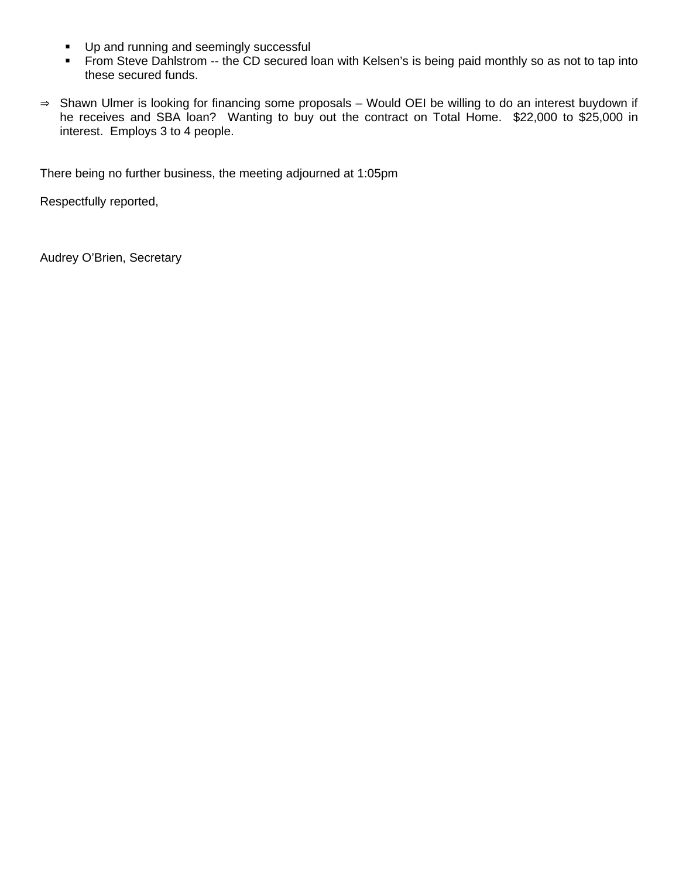- **Up and running and seemingly successful**
- From Steve Dahlstrom -- the CD secured loan with Kelsen's is being paid monthly so as not to tap into these secured funds.
- $\Rightarrow$  Shawn Ulmer is looking for financing some proposals Would OEI be willing to do an interest buydown if he receives and SBA loan? Wanting to buy out the contract on Total Home. \$22,000 to \$25,000 in interest. Employs 3 to 4 people.

There being no further business, the meeting adjourned at 1:05pm

Respectfully reported,

Audrey O'Brien, Secretary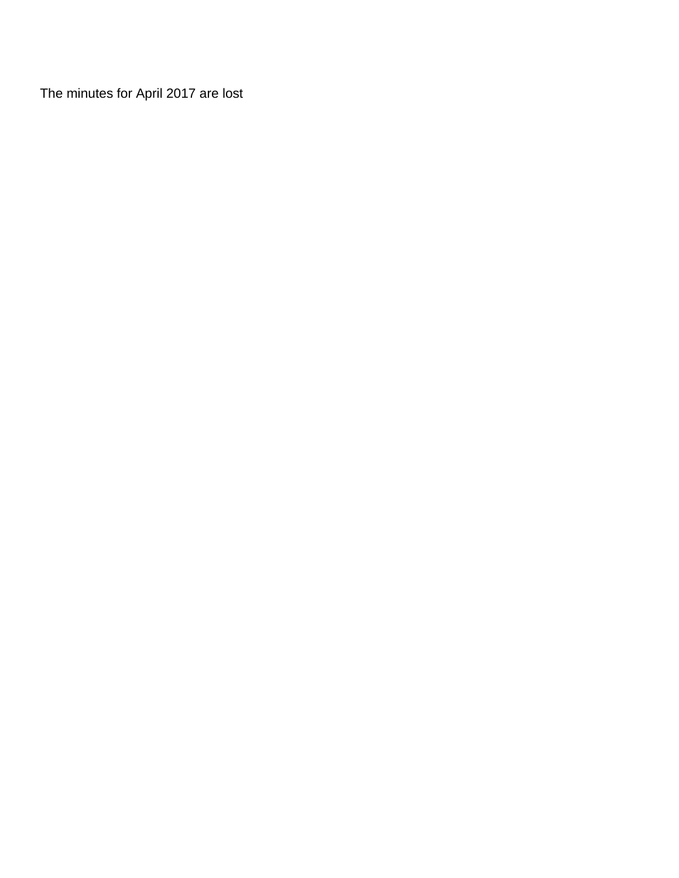The minutes for April 2017 are lost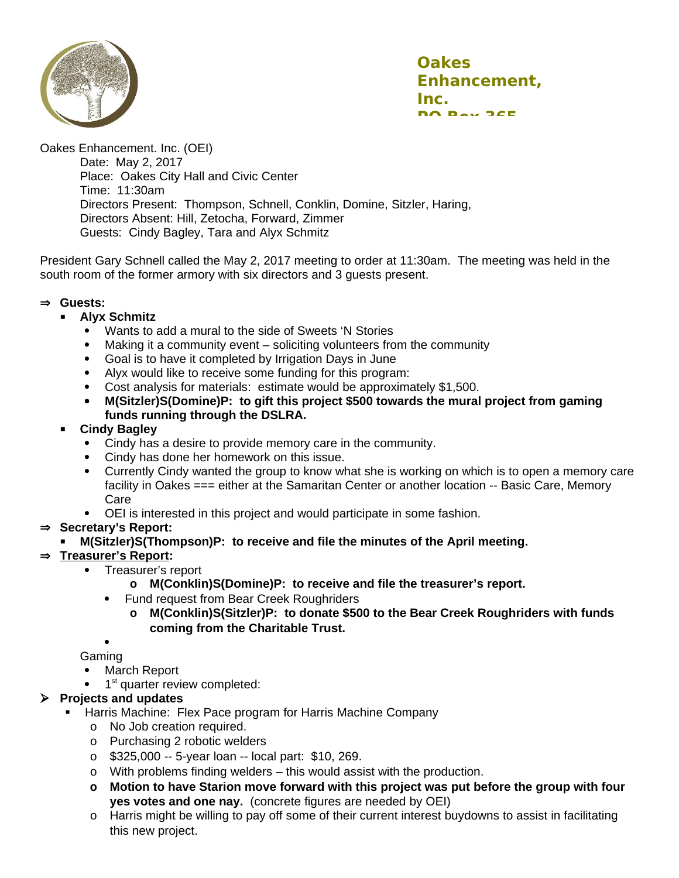



Oakes Enhancement. Inc. (OEI) Date: May 2, 2017 Place: Oakes City Hall and Civic Center Time: 11:30am Directors Present: Thompson, Schnell, Conklin, Domine, Sitzler, Haring, Directors Absent: Hill, Zetocha, Forward, Zimmer Guests: Cindy Bagley, Tara and Alyx Schmitz

President Gary Schnell called the May 2, 2017 meeting to order at 11:30am. The meeting was held in the south room of the former armory with six directors and 3 guests present.

#### **Guests:**

#### **Alyx Schmitz**

- Wants to add a mural to the side of Sweets 'N Stories<br>• Making it a community event soliciting volunteers from
- Making it a community event soliciting volunteers from the community
- Goal is to have it completed by Irrigation Days in June
- Alyx would like to receive some funding for this program:
- Cost analysis for materials: estimate would be approximately \$1,500.
- **M(Sitzler)S(Domine)P: to gift this project \$500 towards the mural project from gaming funds running through the DSLRA.**

#### **Cindy Bagley**

- Cindy has a desire to provide memory care in the community.
- Cindy has done her homework on this issue.
- Currently Cindy wanted the group to know what she is working on which is to open a memory care facility in Oakes === either at the Samaritan Center or another location -- Basic Care, Memory Care
- OEI is interested in this project and would participate in some fashion.

### ⇒ Secretary's Report:

**M(Sitzler)S(Thompson)P: to receive and file the minutes of the April meeting.** 

### **Treasurer's Report:**

- Treasurer's report
	- **o M(Conklin)S(Domine)P: to receive and file the treasurer's report.**
	- Fund request from Bear Creek Roughriders
		- **o M(Conklin)S(Sitzler)P: to donate \$500 to the Bear Creek Roughriders with funds coming from the Charitable Trust.**

 $\bullet$ Gaming

- March Report
- $\bullet$  $1<sup>st</sup>$  quarter review completed:

### **Projects and updates**

- Harris Machine: Flex Pace program for Harris Machine Company
	- o No Job creation required.
	- o Purchasing 2 robotic welders
	- o \$325,000 -- 5-year loan -- local part: \$10, 269.
	- o With problems finding welders this would assist with the production.
	- **o Motion to have Starion move forward with this project was put before the group with four yes votes and one nay.** (concrete figures are needed by OEI)
	- o Harris might be willing to pay off some of their current interest buydowns to assist in facilitating this new project.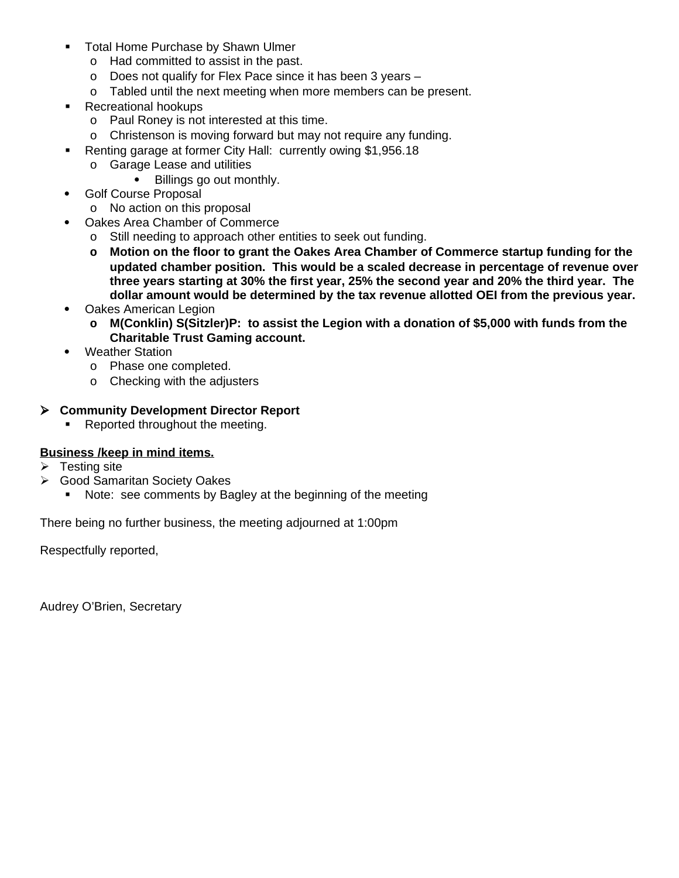- **Total Home Purchase by Shawn Ulmer** 
	- o Had committed to assist in the past.
	- o Does not qualify for Flex Pace since it has been 3 years –
	- o Tabled until the next meeting when more members can be present.
- Recreational hookups
	- o Paul Roney is not interested at this time.
	- o Christenson is moving forward but may not require any funding.
- Renting garage at former City Hall: currently owing \$1,956.18
	- o Garage Lease and utilities
		- Billings go out monthly.
- Golf Course Proposal
	- o No action on this proposal
- Oakes Area Chamber of Commerce
	- o Still needing to approach other entities to seek out funding.
	- **o Motion on the floor to grant the Oakes Area Chamber of Commerce startup funding for the updated chamber position. This would be a scaled decrease in percentage of revenue over three years starting at 30% the first year, 25% the second year and 20% the third year. The dollar amount would be determined by the tax revenue allotted OEI from the previous year.**
- Oakes American Legion
	- **o M(Conklin) S(Sitzler)P: to assist the Legion with a donation of \$5,000 with funds from the Charitable Trust Gaming account.**
- Weather Station
	- o Phase one completed.
	- o Checking with the adjusters

# **Community Development Director Report**

Reported throughout the meeting.

### **Business /keep in mind items.**

- Testing site
- Good Samaritan Society Oakes
	- Note: see comments by Bagley at the beginning of the meeting

There being no further business, the meeting adjourned at 1:00pm

Respectfully reported,

Audrey O'Brien, Secretary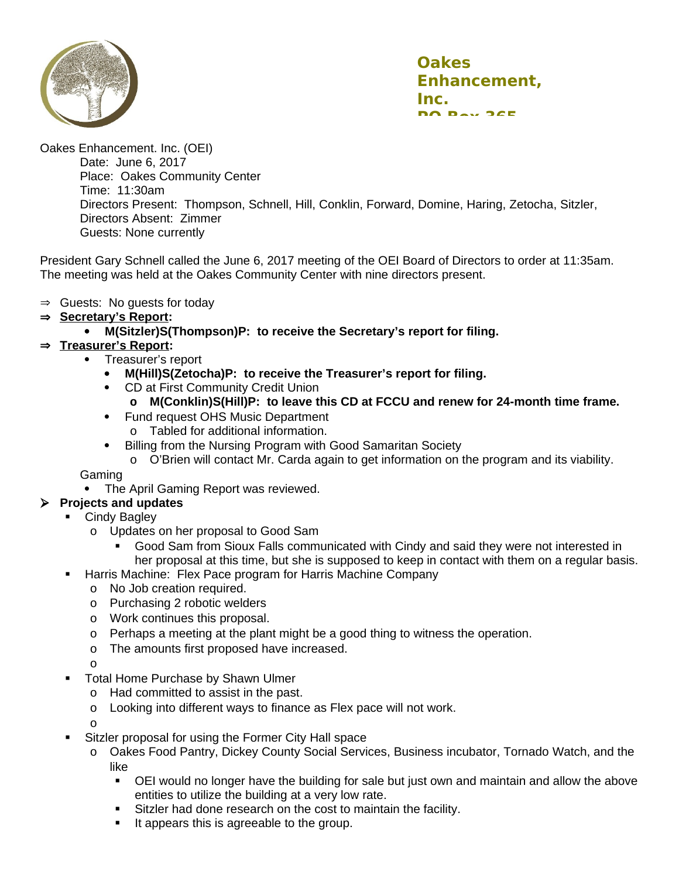

Oakes Enhancement. Inc. (OEI) Date: June 6, 2017 Place: Oakes Community Center Time: 11:30am Directors Present: Thompson, Schnell, Hill, Conklin, Forward, Domine, Haring, Zetocha, Sitzler, Directors Absent: Zimmer Guests: None currently

President Gary Schnell called the June 6, 2017 meeting of the OEI Board of Directors to order at 11:35am. The meeting was held at the Oakes Community Center with nine directors present.

- $\Rightarrow$  Guests: No quests for today
- **Secretary's Report:**
	- **M(Sitzler)S(Thompson)P: to receive the Secretary's report for filing.**

## **Treasurer's Report:**

- Treasurer's report
	- **M(Hill)S(Zetocha)P: to receive the Treasurer's report for filing.**
	- CD at First Community Credit Union
		- **o M(Conklin)S(Hill)P: to leave this CD at FCCU and renew for 24-month time frame.**
	- Fund request OHS Music Department o Tabled for additional information.
	- Billing from the Nursing Program with Good Samaritan Society
		- o O'Brien will contact Mr. Carda again to get information on the program and its viability.

Gaming

• The April Gaming Report was reviewed.

## **Projects and updates**

- Cindy Bagley
	- o Updates on her proposal to Good Sam
		- Good Sam from Sioux Falls communicated with Cindy and said they were not interested in her proposal at this time, but she is supposed to keep in contact with them on a regular basis.
- **-** Harris Machine: Flex Pace program for Harris Machine Company
	- o No Job creation required.
	- o Purchasing 2 robotic welders
	- o Work continues this proposal.
	- o Perhaps a meeting at the plant might be a good thing to witness the operation.
	- o The amounts first proposed have increased.
	- o
- **Total Home Purchase by Shawn Ulmer** 
	- o Had committed to assist in the past.
	- o Looking into different ways to finance as Flex pace will not work.

o

- Sitzler proposal for using the Former City Hall space
	- o Oakes Food Pantry, Dickey County Social Services, Business incubator, Tornado Watch, and the like
		- OEI would no longer have the building for sale but just own and maintain and allow the above entities to utilize the building at a very low rate.
		- **Sitzler had done research on the cost to maintain the facility.**
		- It appears this is agreeable to the group.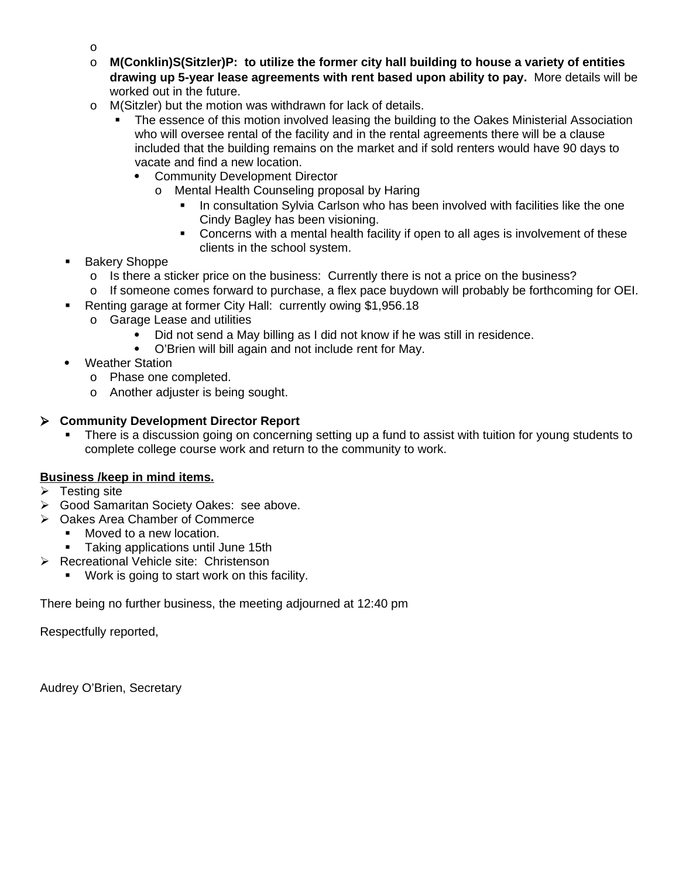- o
- o **M(Conklin)S(Sitzler)P: to utilize the former city hall building to house a variety of entities drawing up 5-year lease agreements with rent based upon ability to pay.** More details will be worked out in the future.
- o M(Sitzler) but the motion was withdrawn for lack of details.
	- The essence of this motion involved leasing the building to the Oakes Ministerial Association who will oversee rental of the facility and in the rental agreements there will be a clause included that the building remains on the market and if sold renters would have 90 days to vacate and find a new location.
		- Community Development Director
			- o Mental Health Counseling proposal by Haring
				- In consultation Sylvia Carlson who has been involved with facilities like the one Cindy Bagley has been visioning.
				- Concerns with a mental health facility if open to all ages is involvement of these clients in the school system.
- Bakery Shoppe
	- o Is there a sticker price on the business: Currently there is not a price on the business?
- o If someone comes forward to purchase, a flex pace buydown will probably be forthcoming for OEI.
- Renting garage at former City Hall: currently owing \$1,956.18
	- o Garage Lease and utilities
		- Did not send a May billing as I did not know if he was still in residence.
		- O'Brien will bill again and not include rent for May.
- Weather Station
	- o Phase one completed.
	- o Another adjuster is being sought.

## **Community Development Director Report**

 There is a discussion going on concerning setting up a fund to assist with tuition for young students to complete college course work and return to the community to work.

# **Business /keep in mind items.**

- $\triangleright$  Testing site
- ▶ Good Samaritan Society Oakes: see above.
- Oakes Area Chamber of Commerce
	- Moved to a new location.
	- **Taking applications until June 15th**
- **Recreational Vehicle site: Christenson** 
	- **Work is going to start work on this facility.**

There being no further business, the meeting adjourned at 12:40 pm

Respectfully reported,

Audrey O'Brien, Secretary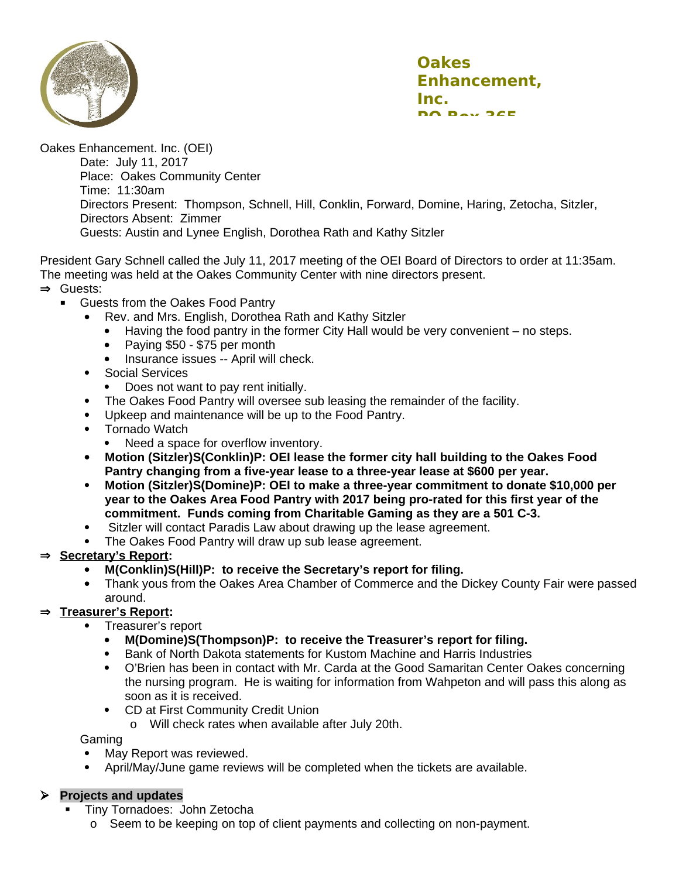

Oakes Enhancement. Inc. (OEI) Date: July 11, 2017 Place: Oakes Community Center Time: 11:30am Directors Present: Thompson, Schnell, Hill, Conklin, Forward, Domine, Haring, Zetocha, Sitzler, Directors Absent: Zimmer Guests: Austin and Lynee English, Dorothea Rath and Kathy Sitzler

President Gary Schnell called the July 11, 2017 meeting of the OEI Board of Directors to order at 11:35am. The meeting was held at the Oakes Community Center with nine directors present. **⇒** Guests:

- **Guests from the Oakes Food Pantry** 
	- Rev. and Mrs. English, Dorothea Rath and Kathy Sitzler
		- Having the food pantry in the former City Hall would be very convenient no steps.
		- Paying \$50 \$75 per month
		- Insurance issues -- April will check.
	- Social Services
		- Does not want to pay rent initially.
	- The Oakes Food Pantry will oversee sub leasing the remainder of the facility.
	- Upkeep and maintenance will be up to the Food Pantry.
	- Tornado Watch
		- Need a space for overflow inventory.
	- **Motion (Sitzler)S(Conklin)P: OEI lease the former city hall building to the Oakes Food Pantry changing from a five-year lease to a three-year lease at \$600 per year.**
	- **Motion (Sitzler)S(Domine)P: OEI to make a three-year commitment to donate \$10,000 per year to the Oakes Area Food Pantry with 2017 being pro-rated for this first year of the commitment. Funds coming from Charitable Gaming as they are a 501 C-3.**
	- Sitzler will contact Paradis Law about drawing up the lease agreement.
	- The Oakes Food Pantry will draw up sub lease agreement.
- **Secretary's Report:**
	- **M(Conklin)S(Hill)P: to receive the Secretary's report for filing.**
	- Thank yous from the Oakes Area Chamber of Commerce and the Dickey County Fair were passed around.

#### **Treasurer's Report:**

- Treasurer's report
	- **M(Domine)S(Thompson)P: to receive the Treasurer's report for filing.**
	- Bank of North Dakota statements for Kustom Machine and Harris Industries
	- O'Brien has been in contact with Mr. Carda at the Good Samaritan Center Oakes concerning the nursing program. He is waiting for information from Wahpeton and will pass this along as soon as it is received.
	- CD at First Community Credit Union
		- o Will check rates when available after July 20th.

Gaming

- May Report was reviewed.
- April/May/June game reviews will be completed when the tickets are available.

#### **Projects and updates**

- Tiny Tornadoes: John Zetocha
	- o Seem to be keeping on top of client payments and collecting on non-payment.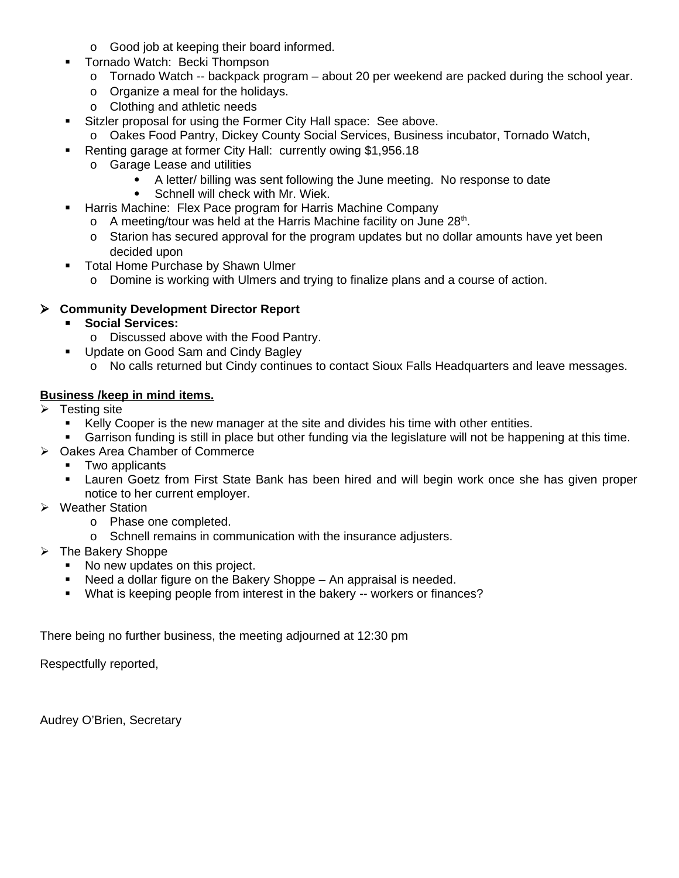- o Good job at keeping their board informed.
- **Tornado Watch: Becki Thompson** 
	- o Tornado Watch -- backpack program about 20 per weekend are packed during the school year.
	- o Organize a meal for the holidays.
	- o Clothing and athletic needs
- **Sitzler proposal for using the Former City Hall space: See above.** 
	- o Oakes Food Pantry, Dickey County Social Services, Business incubator, Tornado Watch,
- Renting garage at former City Hall: currently owing \$1,956.18
	- o Garage Lease and utilities
		- A letter/ billing was sent following the June meeting. No response to date
		- Schnell will check with Mr. Wiek.
- **-** Harris Machine: Flex Pace program for Harris Machine Company
	- o A meeting/tour was held at the Harris Machine facility on June  $28<sup>th</sup>$ .
	- o Starion has secured approval for the program updates but no dollar amounts have yet been decided upon
- **Total Home Purchase by Shawn Ulmer** 
	- o Domine is working with Ulmers and trying to finalize plans and a course of action.

## **Community Development Director Report**

- **Social Services:**
	- o Discussed above with the Food Pantry.
- **Update on Good Sam and Cindy Bagley** 
	- o No calls returned but Cindy continues to contact Sioux Falls Headquarters and leave messages.

## **Business /keep in mind items.**

- Testing site
	- Kelly Cooper is the new manager at the site and divides his time with other entities.
	- Garrison funding is still in place but other funding via the legislature will not be happening at this time.
- ▶ Oakes Area Chamber of Commerce
	- **Two applicants**
	- Lauren Goetz from First State Bank has been hired and will begin work once she has given proper notice to her current employer.
- **▶ Weather Station** 
	- o Phase one completed.
	- o Schnell remains in communication with the insurance adjusters.
- $\triangleright$  The Bakery Shoppe
	- No new updates on this project.
	- Need a dollar figure on the Bakery Shoppe An appraisal is needed.
	- What is keeping people from interest in the bakery -- workers or finances?

There being no further business, the meeting adjourned at 12:30 pm

Respectfully reported,

Audrey O'Brien, Secretary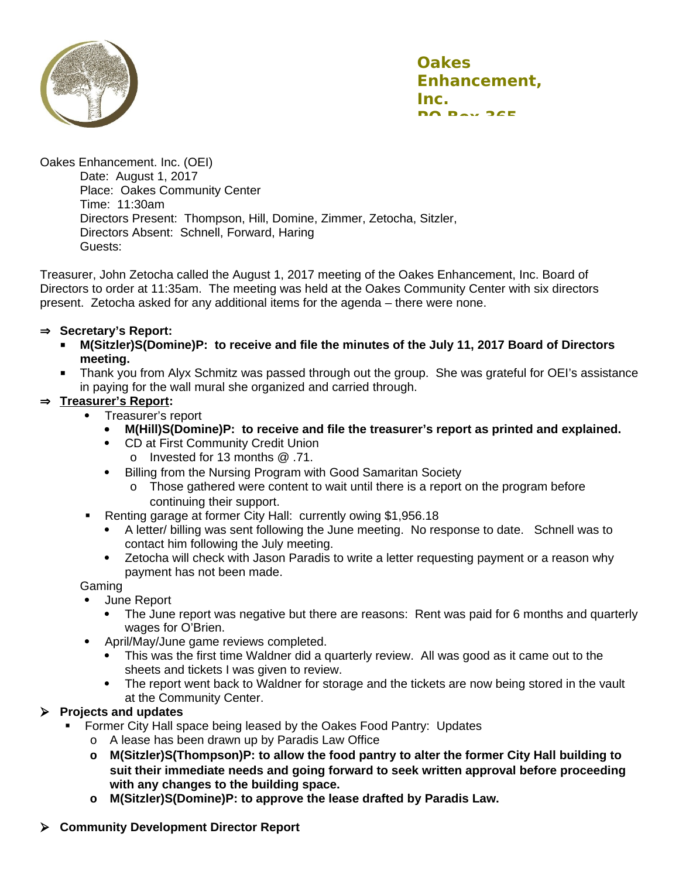

Oakes Enhancement. Inc. (OEI) Date: August 1, 2017 Place: Oakes Community Center Time: 11:30am Directors Present: Thompson, Hill, Domine, Zimmer, Zetocha, Sitzler, Directors Absent: Schnell, Forward, Haring Guests:

Treasurer, John Zetocha called the August 1, 2017 meeting of the Oakes Enhancement, Inc. Board of Directors to order at 11:35am. The meeting was held at the Oakes Community Center with six directors present. Zetocha asked for any additional items for the agenda – there were none.

#### ⇒ Secretary's Report:

- **M(Sitzler)S(Domine)P: to receive and file the minutes of the July 11, 2017 Board of Directors meeting.**
- Thank you from Alyx Schmitz was passed through out the group. She was grateful for OEI's assistance in paying for the wall mural she organized and carried through.

### **Treasurer's Report:**

- Treasurer's report
	- **M(Hill)S(Domine)P: to receive and file the treasurer's report as printed and explained.**
	- CD at First Community Credit Union o Invested for 13 months @ .71.
	- Billing from the Nursing Program with Good Samaritan Society
		- o Those gathered were content to wait until there is a report on the program before continuing their support.
- Renting garage at former City Hall: currently owing \$1,956.18
	- A letter/ billing was sent following the June meeting. No response to date. Schnell was to contact him following the July meeting.
	- Zetocha will check with Jason Paradis to write a letter requesting payment or a reason why payment has not been made.

Gaming

- June Report
	- The June report was negative but there are reasons: Rent was paid for 6 months and quarterly wages for O'Brien.
- April/May/June game reviews completed.
	- This was the first time Waldner did a quarterly review. All was good as it came out to the sheets and tickets I was given to review.
	- The report went back to Waldner for storage and the tickets are now being stored in the vault at the Community Center.

### **Projects and updates**

- Former City Hall space being leased by the Oakes Food Pantry: Updates
	- o A lease has been drawn up by Paradis Law Office
	- **o M(Sitzler)S(Thompson)P: to allow the food pantry to alter the former City Hall building to suit their immediate needs and going forward to seek written approval before proceeding with any changes to the building space.**
	- **o M(Sitzler)S(Domine)P: to approve the lease drafted by Paradis Law.**
- **Community Development Director Report**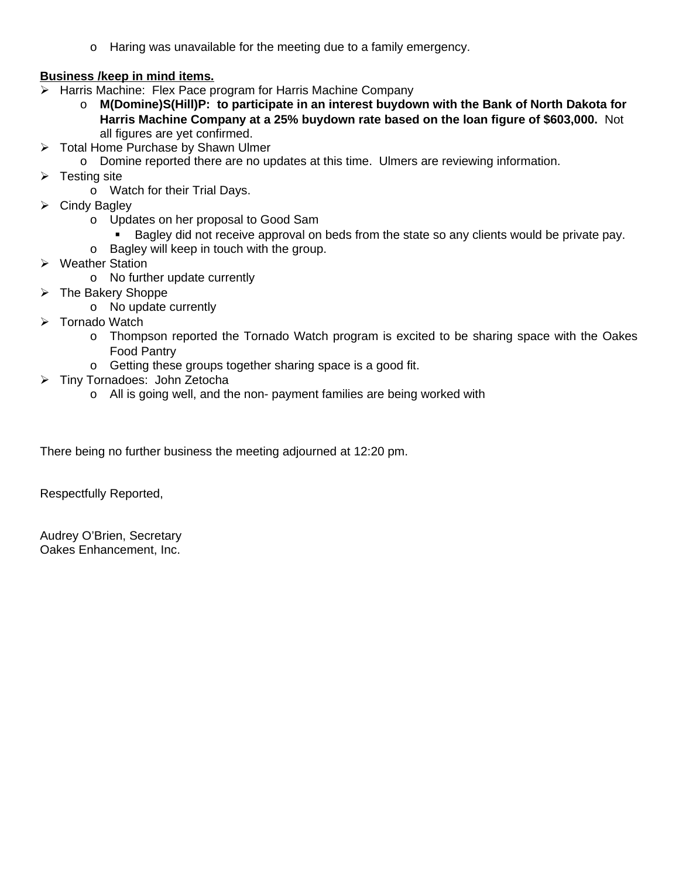o Haring was unavailable for the meeting due to a family emergency.

## **Business /keep in mind items.**

- $\triangleright$  Harris Machine: Flex Pace program for Harris Machine Company
	- o **M(Domine)S(Hill)P: to participate in an interest buydown with the Bank of North Dakota for Harris Machine Company at a 25% buydown rate based on the loan figure of \$603,000.** Not all figures are yet confirmed.
- **▶ Total Home Purchase by Shawn Ulmer** 
	- o Domine reported there are no updates at this time. Ulmers are reviewing information.
- $\triangleright$  Testing site
	- o Watch for their Trial Days.
- $\triangleright$  Cindy Bagley
	- o Updates on her proposal to Good Sam
		- Bagley did not receive approval on beds from the state so any clients would be private pay.
	- o Bagley will keep in touch with the group.
- **▶ Weather Station** 
	- o No further update currently
- $\triangleright$  The Bakery Shoppe
	- o No update currently
- > Tornado Watch
	- o Thompson reported the Tornado Watch program is excited to be sharing space with the Oakes Food Pantry
	- o Getting these groups together sharing space is a good fit.
- > Tiny Tornadoes: John Zetocha
	- o All is going well, and the non- payment families are being worked with

There being no further business the meeting adjourned at 12:20 pm.

Respectfully Reported,

Audrey O'Brien, Secretary Oakes Enhancement, Inc.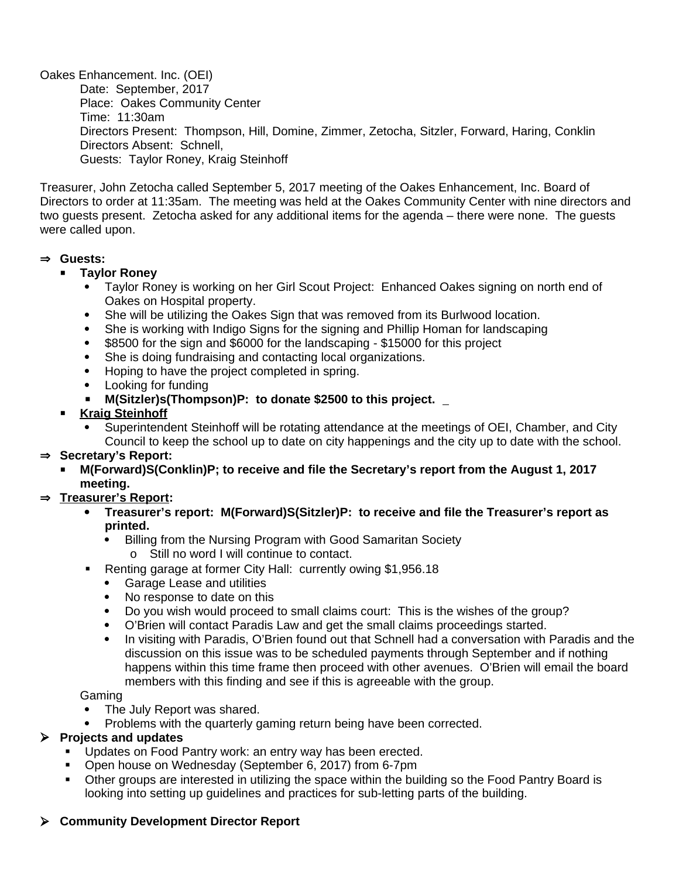Oakes Enhancement. Inc. (OEI) Date: September, 2017 Place: Oakes Community Center Time: 11:30am Directors Present: Thompson, Hill, Domine, Zimmer, Zetocha, Sitzler, Forward, Haring, Conklin Directors Absent: Schnell, Guests: Taylor Roney, Kraig Steinhoff

Treasurer, John Zetocha called September 5, 2017 meeting of the Oakes Enhancement, Inc. Board of Directors to order at 11:35am. The meeting was held at the Oakes Community Center with nine directors and two guests present. Zetocha asked for any additional items for the agenda – there were none. The guests were called upon.

#### **Guests:**

- **Taylor Roney**
	- Taylor Roney is working on her Girl Scout Project: Enhanced Oakes signing on north end of Oakes on Hospital property.
	- She will be utilizing the Oakes Sign that was removed from its Burlwood location.
	- She is working with Indigo Signs for the signing and Phillip Homan for landscaping
	- \$8500 for the sign and \$6000 for the landscaping \$15000 for this project
	- She is doing fundraising and contacting local organizations.
	- Hoping to have the project completed in spring.
	- Looking for funding
	- **M(Sitzler)s(Thompson)P: to donate \$2500 to this project.**
- **Kraig Steinhoff**
	- Superintendent Steinhoff will be rotating attendance at the meetings of OEI, Chamber, and City Council to keep the school up to date on city happenings and the city up to date with the school.

### ⇒ Secretary's Report:

 **M(Forward)S(Conklin)P; to receive and file the Secretary's report from the August 1, 2017 meeting.**

### **Treasurer's Report:**

- **Treasurer's report: M(Forward)S(Sitzler)P: to receive and file the Treasurer's report as printed.**
	- Billing from the Nursing Program with Good Samaritan Society o Still no word I will continue to contact.
- Renting garage at former City Hall: currently owing \$1,956.18
	- Garage Lease and utilities
	- No response to date on this
	- Do you wish would proceed to small claims court: This is the wishes of the group?
	- O'Brien will contact Paradis Law and get the small claims proceedings started.
	- In visiting with Paradis, O'Brien found out that Schnell had a conversation with Paradis and the discussion on this issue was to be scheduled payments through September and if nothing happens within this time frame then proceed with other avenues. O'Brien will email the board members with this finding and see if this is agreeable with the group.

#### Gaming

- The July Report was shared.
- Problems with the quarterly gaming return being have been corrected.

### **Projects and updates**

- **Updates on Food Pantry work: an entry way has been erected.**
- **•** Open house on Wednesday (September 6, 2017) from 6-7pm
- Other groups are interested in utilizing the space within the building so the Food Pantry Board is looking into setting up guidelines and practices for sub-letting parts of the building.

# **Community Development Director Report**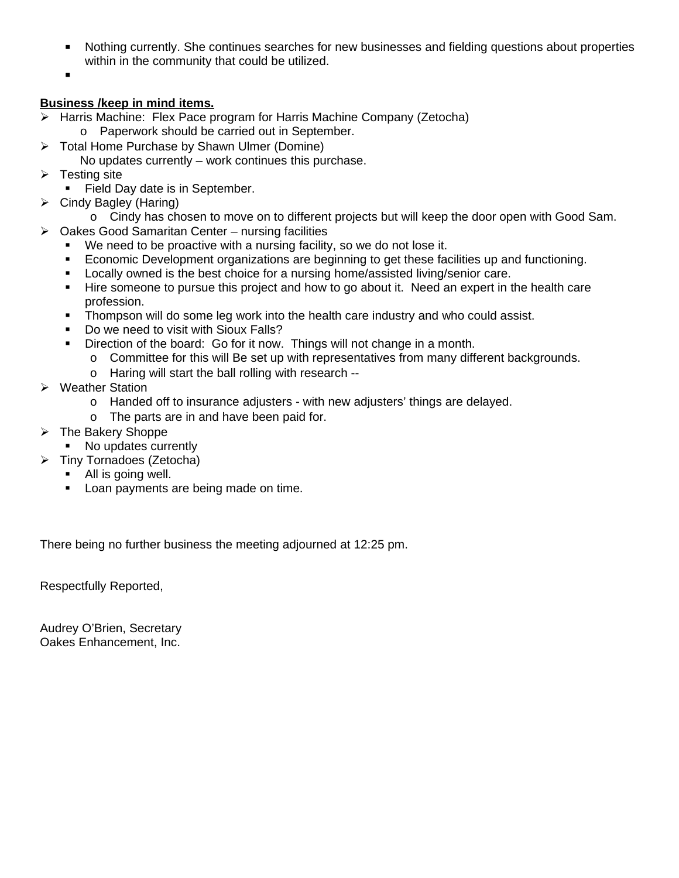- Nothing currently. She continues searches for new businesses and fielding questions about properties within in the community that could be utilized.
- $\blacksquare$

## **Business /keep in mind items.**

- Harris Machine: Flex Pace program for Harris Machine Company (Zetocha)
	- o Paperwork should be carried out in September.
- Total Home Purchase by Shawn Ulmer (Domine)
- No updates currently work continues this purchase.
- $\triangleright$  Testing site
	- Field Day date is in September.
- $\triangleright$  Cindy Bagley (Haring)
	- o Cindy has chosen to move on to different projects but will keep the door open with Good Sam.
- $\triangleright$  Oakes Good Samaritan Center nursing facilities
	- **•** We need to be proactive with a nursing facility, so we do not lose it.
	- Economic Development organizations are beginning to get these facilities up and functioning.
	- **Locally owned is the best choice for a nursing home/assisted living/senior care.**
	- Hire someone to pursue this project and how to go about it. Need an expert in the health care profession.
	- Thompson will do some leg work into the health care industry and who could assist.
	- Do we need to visit with Sioux Falls?
	- Direction of the board: Go for it now. Things will not change in a month.
		- o Committee for this will Be set up with representatives from many different backgrounds.
			- o Haring will start the ball rolling with research --
- **▶ Weather Station** 
	- o Handed off to insurance adjusters with new adjusters' things are delayed.
	- o The parts are in and have been paid for.
- $\triangleright$  The Bakery Shoppe
	- No updates currently
- Tiny Tornadoes (Zetocha)
	- All is going well.
	- **Loan payments are being made on time.**

There being no further business the meeting adjourned at 12:25 pm.

Respectfully Reported,

Audrey O'Brien, Secretary Oakes Enhancement, Inc.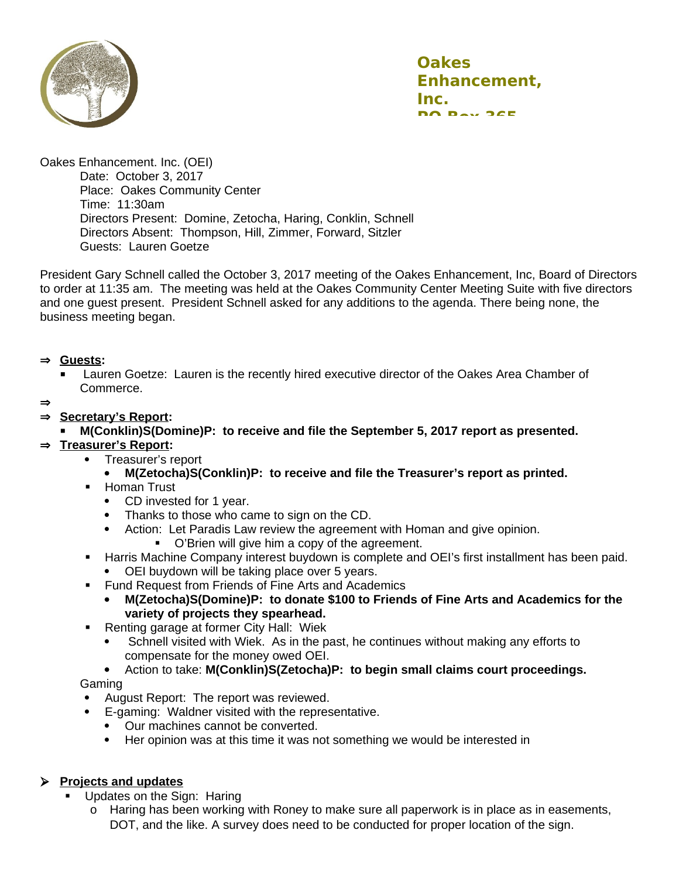

Oakes Enhancement. Inc. (OEI)

Date: October 3, 2017 Place: Oakes Community Center Time: 11:30am Directors Present: Domine, Zetocha, Haring, Conklin, Schnell Directors Absent: Thompson, Hill, Zimmer, Forward, Sitzler Guests: Lauren Goetze

President Gary Schnell called the October 3, 2017 meeting of the Oakes Enhancement, Inc, Board of Directors to order at 11:35 am. The meeting was held at the Oakes Community Center Meeting Suite with five directors and one guest present. President Schnell asked for any additions to the agenda. There being none, the business meeting began.

### **Guests:**

- Lauren Goetze: Lauren is the recently hired executive director of the Oakes Area Chamber of Commerce.
- $\Rightarrow$

### **Secretary's Report:**

**M(Conklin)S(Domine)P: to receive and file the September 5, 2017 report as presented.**

### **Treasurer's Report:**

- Treasurer's report
	- **M(Zetocha)S(Conklin)P: to receive and file the Treasurer's report as printed.**
- **-** Homan Trust
	- CD invested for 1 year.
	- Thanks to those who came to sign on the CD.
	- Action: Let Paradis Law review the agreement with Homan and give opinion.
		- O'Brien will give him a copy of the agreement.
- **Harris Machine Company interest buydown is complete and OEI's first installment has been paid.** 
	- OEI buydown will be taking place over 5 years.
- **Fund Request from Friends of Fine Arts and Academics** 
	- **M(Zetocha)S(Domine)P: to donate \$100 to Friends of Fine Arts and Academics for the variety of projects they spearhead.**
- **Renting garage at former City Hall: Wiek** 
	- Schnell visited with Wiek. As in the past, he continues without making any efforts to compensate for the money owed OEI.
- Action to take: **M(Conklin)S(Zetocha)P: to begin small claims court proceedings.** Gaming
- August Report: The report was reviewed.
- E-gaming: Waldner visited with the representative.
	- Our machines cannot be converted.
	- Her opinion was at this time it was not something we would be interested in

### **Projects and updates**

- **Updates on the Sign: Haring** 
	- o Haring has been working with Roney to make sure all paperwork is in place as in easements, DOT, and the like. A survey does need to be conducted for proper location of the sign.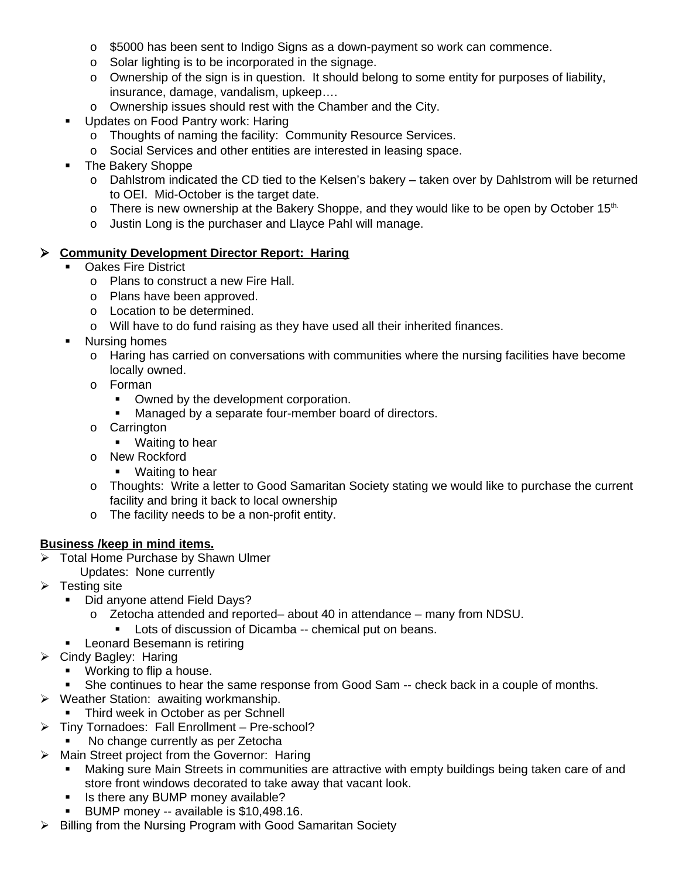- o \$5000 has been sent to Indigo Signs as a down-payment so work can commence.
- o Solar lighting is to be incorporated in the signage.
- o Ownership of the sign is in question. It should belong to some entity for purposes of liability, insurance, damage, vandalism, upkeep….
- o Ownership issues should rest with the Chamber and the City.
- **Updates on Food Pantry work: Haring** 
	- o Thoughts of naming the facility: Community Resource Services.
	- o Social Services and other entities are interested in leasing space.
- The Bakery Shoppe
	- o Dahlstrom indicated the CD tied to the Kelsen's bakery taken over by Dahlstrom will be returned to OEI. Mid-October is the target date.
	- o There is new ownership at the Bakery Shoppe, and they would like to be open by October  $15<sup>th</sup>$ .
	- o Justin Long is the purchaser and Llayce Pahl will manage.

#### **Community Development Director Report: Haring**

- Oakes Fire District
	- o Plans to construct a new Fire Hall.
	- o Plans have been approved.
	- o Location to be determined.
	- o Will have to do fund raising as they have used all their inherited finances.
- **Nursing homes** 
	- o Haring has carried on conversations with communities where the nursing facilities have become locally owned.
	- o Forman
		- Owned by the development corporation.
		- **Managed by a separate four-member board of directors.**
	- o Carrington
		- **•** Waiting to hear
	- o New Rockford
		- **Naiting to hear**
	- o Thoughts: Write a letter to Good Samaritan Society stating we would like to purchase the current facility and bring it back to local ownership
	- o The facility needs to be a non-profit entity.

### **Business /keep in mind items.**

- > Total Home Purchase by Shawn Ulmer Updates: None currently
- $\triangleright$  Testing site
	- Did anyone attend Field Days?
		- o Zetocha attended and reported– about 40 in attendance many from NDSU.
			- **Lots of discussion of Dicamba -- chemical put on beans.**
	- **EXEC** Leonard Besemann is retiring
- $\triangleright$  Cindy Bagley: Haring
	- **•** Working to flip a house.
	- **She continues to hear the same response from Good Sam -- check back in a couple of months.**
- Weather Station: awaiting workmanship.
	- Third week in October as per Schnell
- Tiny Tornadoes: Fall Enrollment Pre-school?
	- No change currently as per Zetocha
- $\triangleright$  Main Street project from the Governor: Haring
	- Making sure Main Streets in communities are attractive with empty buildings being taken care of and store front windows decorated to take away that vacant look.
	- **If** Is there any BUMP money available?
	- BUMP money -- available is \$10,498.16.
- $\triangleright$  Billing from the Nursing Program with Good Samaritan Society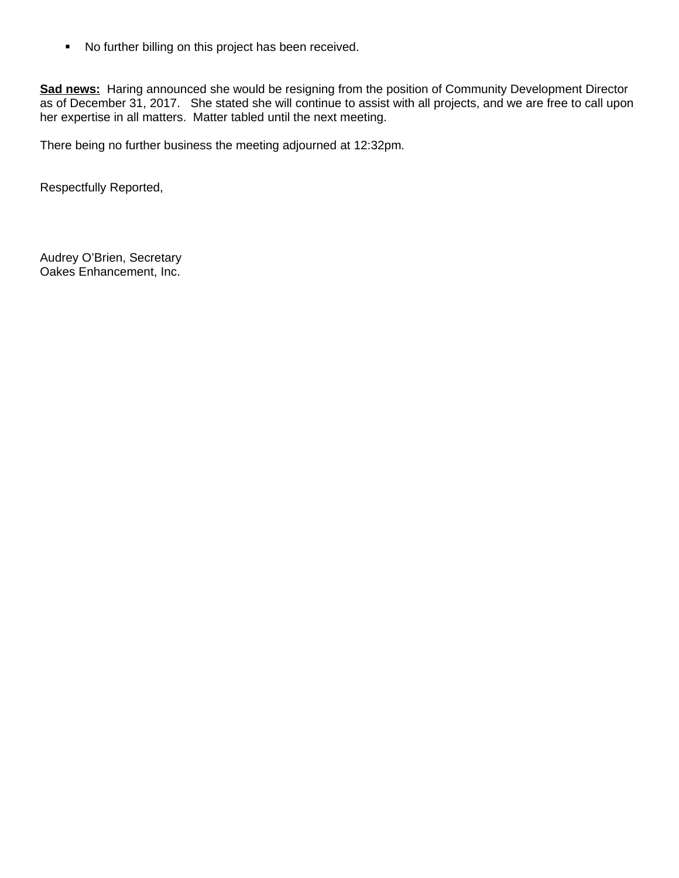No further billing on this project has been received.

**Sad news:** Haring announced she would be resigning from the position of Community Development Director as of December 31, 2017. She stated she will continue to assist with all projects, and we are free to call upon her expertise in all matters. Matter tabled until the next meeting.

There being no further business the meeting adjourned at 12:32pm.

Respectfully Reported,

Audrey O'Brien, Secretary Oakes Enhancement, Inc.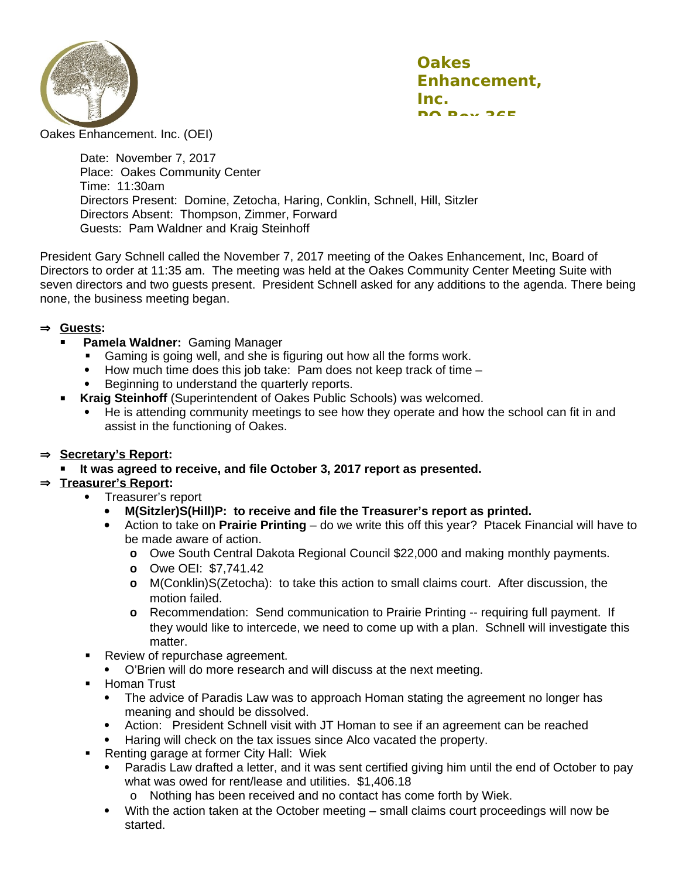

Oakes Enhancement. Inc. (OEI)

Date: November 7, 2017 Place: Oakes Community Center Time: 11:30am Directors Present: Domine, Zetocha, Haring, Conklin, Schnell, Hill, Sitzler Directors Absent: Thompson, Zimmer, Forward Guests: Pam Waldner and Kraig Steinhoff

President Gary Schnell called the November 7, 2017 meeting of the Oakes Enhancement, Inc, Board of Directors to order at 11:35 am. The meeting was held at the Oakes Community Center Meeting Suite with seven directors and two guests present. President Schnell asked for any additions to the agenda. There being none, the business meeting began.

#### **Guests:**

- **Pamela Waldner:** Gaming Manager
	- Gaming is going well, and she is figuring out how all the forms work.
	- $\bullet$  How much time does this job take: Pam does not keep track of time  $-$
	- Beginning to understand the quarterly reports.
- **Kraig Steinhoff** (Superintendent of Oakes Public Schools) was welcomed.
	- He is attending community meetings to see how they operate and how the school can fit in and assist in the functioning of Oakes.

#### **Secretary's Report:**

**It was agreed to receive, and file October 3, 2017 report as presented.**

### **Treasurer's Report:**

- Treasurer's report
	- **M(Sitzler)S(Hill)P: to receive and file the Treasurer's report as printed.**
	- Action to take on **Prairie Printing** do we write this off this year? Ptacek Financial will have to be made aware of action.
		- **o** Owe South Central Dakota Regional Council \$22,000 and making monthly payments.
		- **o** Owe OEI: \$7,741.42
		- **o** M(Conklin)S(Zetocha): to take this action to small claims court. After discussion, the motion failed.
		- **o** Recommendation: Send communication to Prairie Printing -- requiring full payment. If they would like to intercede, we need to come up with a plan. Schnell will investigate this matter.
	- Review of repurchase agreement.
	- O'Brien will do more research and will discuss at the next meeting.
- Homan Trust
	- The advice of Paradis Law was to approach Homan stating the agreement no longer has meaning and should be dissolved.
	- Action: President Schnell visit with JT Homan to see if an agreement can be reached
	- Haring will check on the tax issues since Alco vacated the property.
- Renting garage at former City Hall: Wiek
	- Paradis Law drafted a letter, and it was sent certified giving him until the end of October to pay what was owed for rent/lease and utilities. \$1,406.18
		- o Nothing has been received and no contact has come forth by Wiek.
	- With the action taken at the October meeting small claims court proceedings will now be started.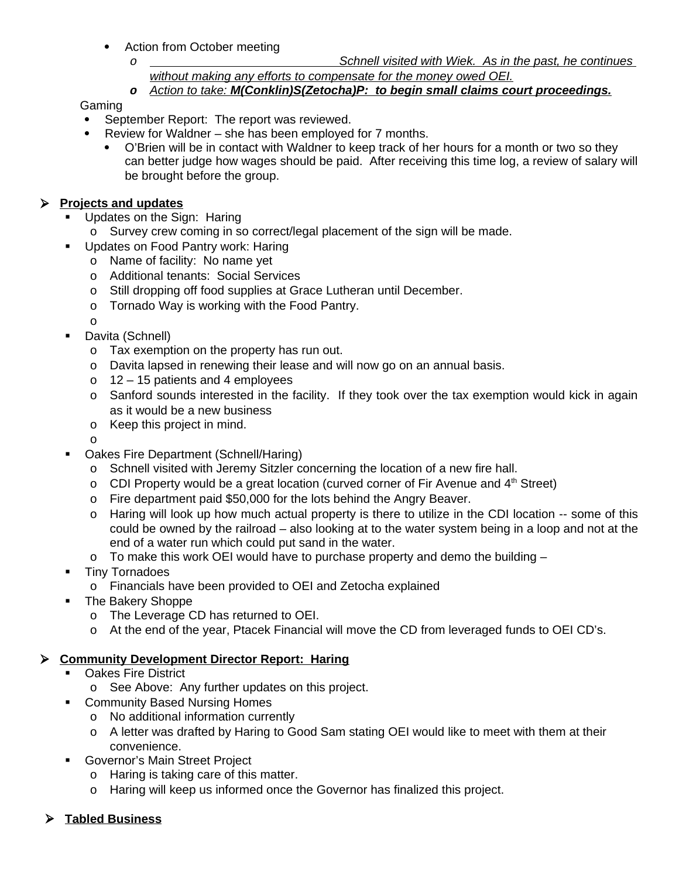- Action from October meeting
	- *o Schnell visited with Wiek. As in the past, he continues without making any efforts to compensate for the money owed OEI.*
	- *o Action to take: M(Conklin)S(Zetocha)P: to begin small claims court proceedings.*

Gaming

- September Report: The report was reviewed.
- Review for Waldner she has been employed for 7 months.
	- O'Brien will be in contact with Waldner to keep track of her hours for a month or two so they can better judge how wages should be paid. After receiving this time log, a review of salary will be brought before the group.

### **Projects and updates**

- **Updates on the Sign: Haring** 
	- o Survey crew coming in so correct/legal placement of the sign will be made.
- **Updates on Food Pantry work: Haring** 
	- o Name of facility: No name yet
	- o Additional tenants: Social Services
	- o Still dropping off food supplies at Grace Lutheran until December.
	- o Tornado Way is working with the Food Pantry.

o

- **Davita (Schnell)** 
	- o Tax exemption on the property has run out.
	- o Davita lapsed in renewing their lease and will now go on an annual basis.
	- o 12 15 patients and 4 employees
	- o Sanford sounds interested in the facility. If they took over the tax exemption would kick in again as it would be a new business
	- o Keep this project in mind.

o

- Oakes Fire Department (Schnell/Haring)
	- o Schnell visited with Jeremy Sitzler concerning the location of a new fire hall.
	- o CDI Property would be a great location (curved corner of Fir Avenue and  $4<sup>th</sup>$  Street)
	- o Fire department paid \$50,000 for the lots behind the Angry Beaver.
	- o Haring will look up how much actual property is there to utilize in the CDI location -- some of this could be owned by the railroad – also looking at to the water system being in a loop and not at the end of a water run which could put sand in the water.
	- o To make this work OEI would have to purchase property and demo the building –
- **Tiny Tornadoes** 
	- o Financials have been provided to OEI and Zetocha explained
- The Bakery Shoppe
	- o The Leverage CD has returned to OEI.
	- o At the end of the year, Ptacek Financial will move the CD from leveraged funds to OEI CD's.

### **Community Development Director Report: Haring**

- **•** Oakes Fire District
	- o See Above: Any further updates on this project.
- **Community Based Nursing Homes** 
	- o No additional information currently
	- o A letter was drafted by Haring to Good Sam stating OEI would like to meet with them at their convenience.
- **Governor's Main Street Project** 
	- o Haring is taking care of this matter.
	- o Haring will keep us informed once the Governor has finalized this project.
- **Tabled Business**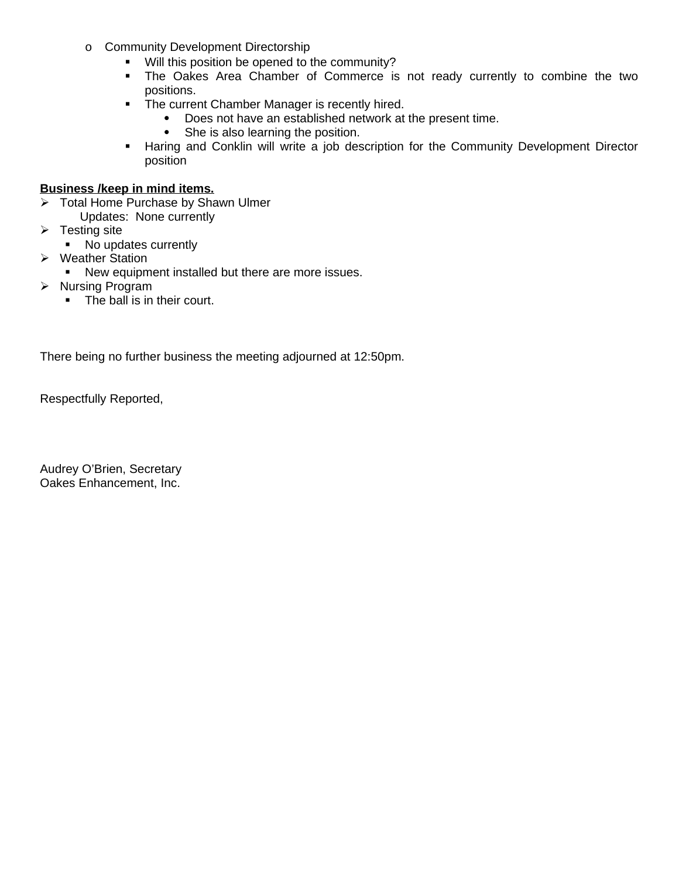- o Community Development Directorship
	- Will this position be opened to the community?
	- The Oakes Area Chamber of Commerce is not ready currently to combine the two positions.
	- The current Chamber Manager is recently hired.
		- Does not have an established network at the present time.
		- She is also learning the position.
	- **Haring and Conklin will write a job description for the Community Development Director** position

### **Business /keep in mind items.**

- > Total Home Purchase by Shawn Ulmer
	- Updates: None currently
- $\triangleright$  Testing site
	- No updates currently
- Weather Station
- New equipment installed but there are more issues.
- > Nursing Program
	- The ball is in their court.

There being no further business the meeting adjourned at 12:50pm.

Respectfully Reported,

Audrey O'Brien, Secretary Oakes Enhancement, Inc.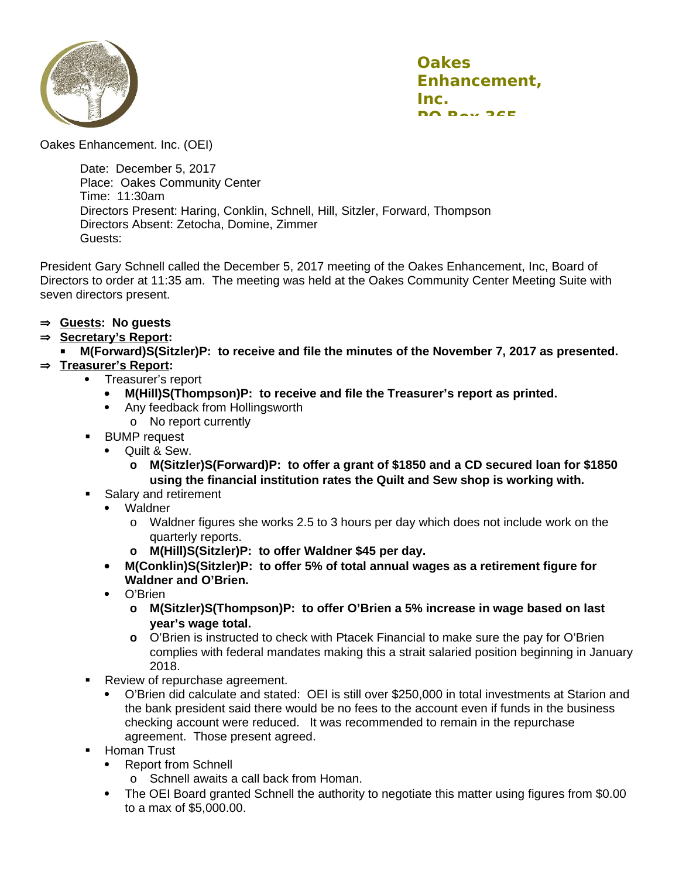

Oakes Enhancement. Inc. (OEI)

Date: December 5, 2017 Place: Oakes Community Center Time: 11:30am Directors Present: Haring, Conklin, Schnell, Hill, Sitzler, Forward, Thompson Directors Absent: Zetocha, Domine, Zimmer Guests:

President Gary Schnell called the December 5, 2017 meeting of the Oakes Enhancement, Inc, Board of Directors to order at 11:35 am. The meeting was held at the Oakes Community Center Meeting Suite with seven directors present.

- **Guests: No guests**
- **Secretary's Report:**
	- **M(Forward)S(Sitzler)P: to receive and file the minutes of the November 7, 2017 as presented.**

## **Treasurer's Report:**

- Treasurer's report
	- **M(Hill)S(Thompson)P: to receive and file the Treasurer's report as printed.**
	- Any feedback from Hollingsworth
		- o No report currently
- **BUMP** request
	- Ouilt & Sew.
		- **o M(Sitzler)S(Forward)P: to offer a grant of \$1850 and a CD secured loan for \$1850 using the financial institution rates the Quilt and Sew shop is working with.**
- **Salary and retirement** 
	- Waldner
		- o Waldner figures she works 2.5 to 3 hours per day which does not include work on the quarterly reports.
		- **o M(Hill)S(Sitzler)P: to offer Waldner \$45 per day.**
	- **M(Conklin)S(Sitzler)P: to offer 5% of total annual wages as a retirement figure for Waldner and O'Brien.**
	- O'Brien
		- **o M(Sitzler)S(Thompson)P: to offer O'Brien a 5% increase in wage based on last year's wage total.**
		- **o** O'Brien is instructed to check with Ptacek Financial to make sure the pay for O'Brien complies with federal mandates making this a strait salaried position beginning in January 2018.
- **Review of repurchase agreement.** 
	- O'Brien did calculate and stated: OEI is still over \$250,000 in total investments at Starion and the bank president said there would be no fees to the account even if funds in the business checking account were reduced. It was recommended to remain in the repurchase agreement. Those present agreed.
- **-** Homan Trust
	- Report from Schnell
		- o Schnell awaits a call back from Homan.
	- The OEI Board granted Schnell the authority to negotiate this matter using figures from \$0.00 to a max of \$5,000.00.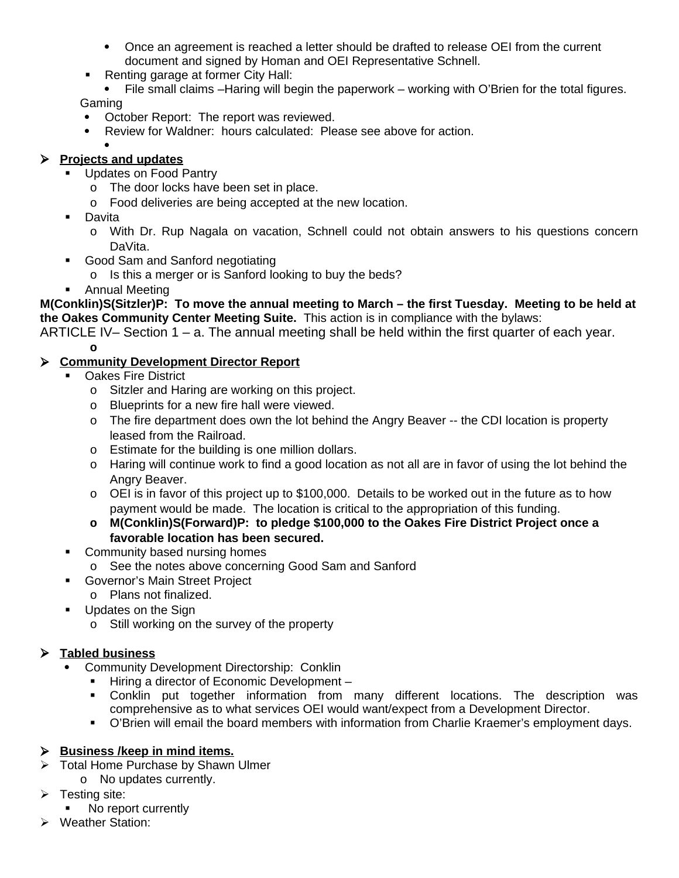- Once an agreement is reached a letter should be drafted to release OEI from the current document and signed by Homan and OEI Representative Schnell.
- Renting garage at former City Hall:

• File small claims –Haring will begin the paperwork – working with O'Brien for the total figures. Gaming

- October Report: The report was reviewed.
- Review for Waldner: hours calculated: Please see above for action.

#### $\bullet$  **Projects and updates**

- **Updates on Food Pantry** 
	- o The door locks have been set in place.
	- o Food deliveries are being accepted at the new location.
- Davita
	- o With Dr. Rup Nagala on vacation, Schnell could not obtain answers to his questions concern DaVita.
- Good Sam and Sanford negotiating
	- o Is this a merger or is Sanford looking to buy the beds?
- **-** Annual Meeting

**M(Conklin)S(Sitzler)P: To move the annual meeting to March – the first Tuesday. Meeting to be held at the Oakes Community Center Meeting Suite.** This action is in compliance with the bylaws:

ARTICLE IV– Section 1 – a. The annual meeting shall be held within the first quarter of each year.

**o**

# **Community Development Director Report**

- Oakes Fire District
	- o Sitzler and Haring are working on this project.
	- o Blueprints for a new fire hall were viewed.
	- o The fire department does own the lot behind the Angry Beaver -- the CDI location is property leased from the Railroad.
	- o Estimate for the building is one million dollars.
	- o Haring will continue work to find a good location as not all are in favor of using the lot behind the Angry Beaver.
	- o OEI is in favor of this project up to \$100,000. Details to be worked out in the future as to how payment would be made. The location is critical to the appropriation of this funding.
	- **o M(Conklin)S(Forward)P: to pledge \$100,000 to the Oakes Fire District Project once a favorable location has been secured.**
- Community based nursing homes
	- o See the notes above concerning Good Sam and Sanford
- **Governor's Main Street Project** 
	- o Plans not finalized.
- **Updates on the Sign** 
	- o Still working on the survey of the property

# **Tabled business**

- Community Development Directorship: Conklin
	- Hiring a director of Economic Development –
	- Conklin put together information from many different locations. The description was comprehensive as to what services OEI would want/expect from a Development Director.
	- O'Brien will email the board members with information from Charlie Kraemer's employment days.

### **Business /keep in mind items.**

- $\triangleright$  Total Home Purchase by Shawn Ulmer
	- o No updates currently.
- $\triangleright$  Testing site:
	- No report currently
- Weather Station: